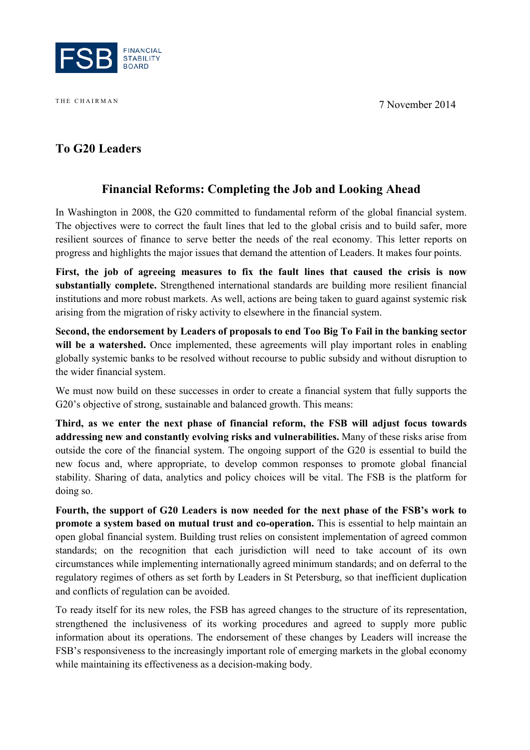THE CHAIRMAN 7 November 2014



# **To G20 Leaders**

# **Financial Reforms: Completing the Job and Looking Ahead**

In Washington in 2008, the G20 committed to fundamental reform of the global financial system. The objectives were to correct the fault lines that led to the global crisis and to build safer, more resilient sources of finance to serve better the needs of the real economy. This letter reports on progress and highlights the major issues that demand the attention of Leaders. It makes four points.

**First, the job of agreeing measures to fix the fault lines that caused the crisis is now substantially complete.** Strengthened international standards are building more resilient financial institutions and more robust markets. As well, actions are being taken to guard against systemic risk arising from the migration of risky activity to elsewhere in the financial system.

**Second, the endorsement by Leaders of proposals to end Too Big To Fail in the banking sector**  will be a watershed. Once implemented, these agreements will play important roles in enabling globally systemic banks to be resolved without recourse to public subsidy and without disruption to the wider financial system.

We must now build on these successes in order to create a financial system that fully supports the G20's objective of strong, sustainable and balanced growth. This means:

**Third, as we enter the next phase of financial reform, the FSB will adjust focus towards addressing new and constantly evolving risks and vulnerabilities.** Many of these risks arise from outside the core of the financial system. The ongoing support of the G20 is essential to build the new focus and, where appropriate, to develop common responses to promote global financial stability. Sharing of data, analytics and policy choices will be vital. The FSB is the platform for doing so.

**Fourth, the support of G20 Leaders is now needed for the next phase of the FSB's work to promote a system based on mutual trust and co-operation.** This is essential to help maintain an open global financial system. Building trust relies on consistent implementation of agreed common standards; on the recognition that each jurisdiction will need to take account of its own circumstances while implementing internationally agreed minimum standards; and on deferral to the regulatory regimes of others as set forth by Leaders in St Petersburg, so that inefficient duplication and conflicts of regulation can be avoided.

To ready itself for its new roles, the FSB has agreed changes to the structure of its representation, strengthened the inclusiveness of its working procedures and agreed to supply more public information about its operations. The endorsement of these changes by Leaders will increase the FSB's responsiveness to the increasingly important role of emerging markets in the global economy while maintaining its effectiveness as a decision-making body.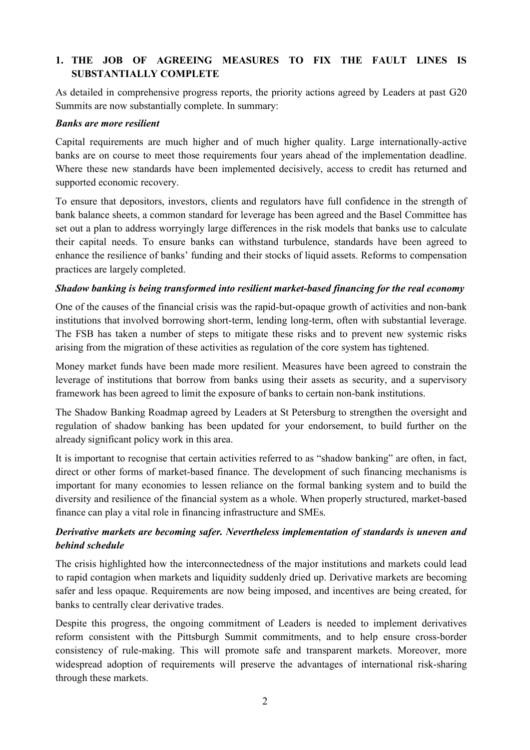# **1. THE JOB OF AGREEING MEASURES TO FIX THE FAULT LINES IS SUBSTANTIALLY COMPLETE**

As detailed in comprehensive progress reports, the priority actions agreed by Leaders at past G20 Summits are now substantially complete. In summary:

#### *Banks are more resilient*

Capital requirements are much higher and of much higher quality. Large internationally-active banks are on course to meet those requirements four years ahead of the implementation deadline. Where these new standards have been implemented decisively, access to credit has returned and supported economic recovery.

To ensure that depositors, investors, clients and regulators have full confidence in the strength of bank balance sheets, a common standard for leverage has been agreed and the Basel Committee has set out a plan to address worryingly large differences in the risk models that banks use to calculate their capital needs. To ensure banks can withstand turbulence, standards have been agreed to enhance the resilience of banks' funding and their stocks of liquid assets. Reforms to compensation practices are largely completed.

### *Shadow banking is being transformed into resilient market-based financing for the real economy*

One of the causes of the financial crisis was the rapid-but-opaque growth of activities and non-bank institutions that involved borrowing short-term, lending long-term, often with substantial leverage. The FSB has taken a number of steps to mitigate these risks and to prevent new systemic risks arising from the migration of these activities as regulation of the core system has tightened.

Money market funds have been made more resilient. Measures have been agreed to constrain the leverage of institutions that borrow from banks using their assets as security, and a supervisory framework has been agreed to limit the exposure of banks to certain non-bank institutions.

The Shadow Banking Roadmap agreed by Leaders at St Petersburg to strengthen the oversight and regulation of shadow banking has been updated for your endorsement, to build further on the already significant policy work in this area.

It is important to recognise that certain activities referred to as "shadow banking" are often, in fact, direct or other forms of market-based finance. The development of such financing mechanisms is important for many economies to lessen reliance on the formal banking system and to build the diversity and resilience of the financial system as a whole. When properly structured, market-based finance can play a vital role in financing infrastructure and SMEs.

# *Derivative markets are becoming safer. Nevertheless implementation of standards is uneven and behind schedule*

The crisis highlighted how the interconnectedness of the major institutions and markets could lead to rapid contagion when markets and liquidity suddenly dried up. Derivative markets are becoming safer and less opaque. Requirements are now being imposed, and incentives are being created, for banks to centrally clear derivative trades.

Despite this progress, the ongoing commitment of Leaders is needed to implement derivatives reform consistent with the Pittsburgh Summit commitments, and to help ensure cross-border consistency of rule-making. This will promote safe and transparent markets. Moreover, more widespread adoption of requirements will preserve the advantages of international risk-sharing through these markets.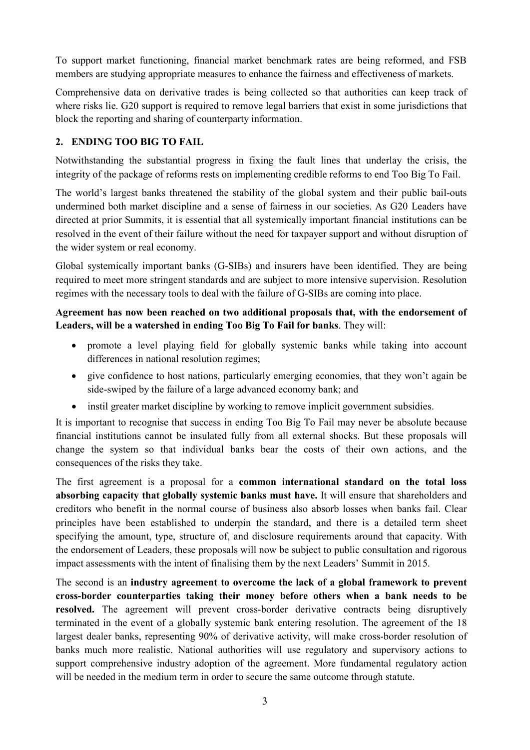To support market functioning, financial market benchmark rates are being reformed, and FSB members are studying appropriate measures to enhance the fairness and effectiveness of markets.

Comprehensive data on derivative trades is being collected so that authorities can keep track of where risks lie. G20 support is required to remove legal barriers that exist in some jurisdictions that block the reporting and sharing of counterparty information.

# **2. ENDING TOO BIG TO FAIL**

Notwithstanding the substantial progress in fixing the fault lines that underlay the crisis, the integrity of the package of reforms rests on implementing credible reforms to end Too Big To Fail.

The world's largest banks threatened the stability of the global system and their public bail-outs undermined both market discipline and a sense of fairness in our societies. As G20 Leaders have directed at prior Summits, it is essential that all systemically important financial institutions can be resolved in the event of their failure without the need for taxpayer support and without disruption of the wider system or real economy.

Global systemically important banks (G-SIBs) and insurers have been identified. They are being required to meet more stringent standards and are subject to more intensive supervision. Resolution regimes with the necessary tools to deal with the failure of G-SIBs are coming into place.

### **Agreement has now been reached on two additional proposals that, with the endorsement of Leaders, will be a watershed in ending Too Big To Fail for banks**. They will:

- promote a level playing field for globally systemic banks while taking into account differences in national resolution regimes;
- give confidence to host nations, particularly emerging economies, that they won't again be side-swiped by the failure of a large advanced economy bank; and
- instil greater market discipline by working to remove implicit government subsidies.

It is important to recognise that success in ending Too Big To Fail may never be absolute because financial institutions cannot be insulated fully from all external shocks. But these proposals will change the system so that individual banks bear the costs of their own actions, and the consequences of the risks they take.

The first agreement is a proposal for a **common international standard on the total loss absorbing capacity that globally systemic banks must have.** It will ensure that shareholders and creditors who benefit in the normal course of business also absorb losses when banks fail. Clear principles have been established to underpin the standard, and there is a detailed term sheet specifying the amount, type, structure of, and disclosure requirements around that capacity. With the endorsement of Leaders, these proposals will now be subject to public consultation and rigorous impact assessments with the intent of finalising them by the next Leaders' Summit in 2015.

The second is an **industry agreement to overcome the lack of a global framework to prevent cross-border counterparties taking their money before others when a bank needs to be resolved.** The agreement will prevent cross-border derivative contracts being disruptively terminated in the event of a globally systemic bank entering resolution. The agreement of the 18 largest dealer banks, representing 90% of derivative activity, will make cross-border resolution of banks much more realistic. National authorities will use regulatory and supervisory actions to support comprehensive industry adoption of the agreement. More fundamental regulatory action will be needed in the medium term in order to secure the same outcome through statute.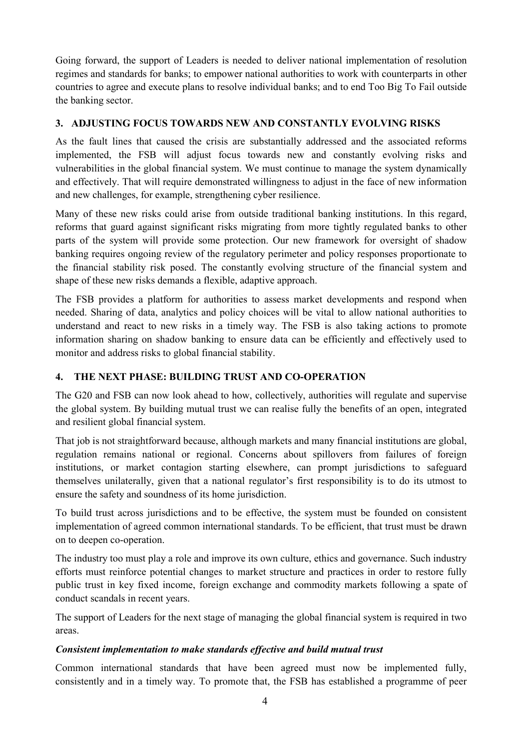Going forward, the support of Leaders is needed to deliver national implementation of resolution regimes and standards for banks; to empower national authorities to work with counterparts in other countries to agree and execute plans to resolve individual banks; and to end Too Big To Fail outside the banking sector.

### **3. ADJUSTING FOCUS TOWARDS NEW AND CONSTANTLY EVOLVING RISKS**

As the fault lines that caused the crisis are substantially addressed and the associated reforms implemented, the FSB will adjust focus towards new and constantly evolving risks and vulnerabilities in the global financial system. We must continue to manage the system dynamically and effectively. That will require demonstrated willingness to adjust in the face of new information and new challenges, for example, strengthening cyber resilience.

Many of these new risks could arise from outside traditional banking institutions. In this regard, reforms that guard against significant risks migrating from more tightly regulated banks to other parts of the system will provide some protection. Our new framework for oversight of shadow banking requires ongoing review of the regulatory perimeter and policy responses proportionate to the financial stability risk posed. The constantly evolving structure of the financial system and shape of these new risks demands a flexible, adaptive approach.

The FSB provides a platform for authorities to assess market developments and respond when needed. Sharing of data, analytics and policy choices will be vital to allow national authorities to understand and react to new risks in a timely way. The FSB is also taking actions to promote information sharing on shadow banking to ensure data can be efficiently and effectively used to monitor and address risks to global financial stability.

# **4. THE NEXT PHASE: BUILDING TRUST AND CO-OPERATION**

The G20 and FSB can now look ahead to how, collectively, authorities will regulate and supervise the global system. By building mutual trust we can realise fully the benefits of an open, integrated and resilient global financial system.

That job is not straightforward because, although markets and many financial institutions are global, regulation remains national or regional. Concerns about spillovers from failures of foreign institutions, or market contagion starting elsewhere, can prompt jurisdictions to safeguard themselves unilaterally, given that a national regulator's first responsibility is to do its utmost to ensure the safety and soundness of its home jurisdiction.

To build trust across jurisdictions and to be effective, the system must be founded on consistent implementation of agreed common international standards. To be efficient, that trust must be drawn on to deepen co-operation.

The industry too must play a role and improve its own culture, ethics and governance. Such industry efforts must reinforce potential changes to market structure and practices in order to restore fully public trust in key fixed income, foreign exchange and commodity markets following a spate of conduct scandals in recent years.

The support of Leaders for the next stage of managing the global financial system is required in two areas.

### *Consistent implementation to make standards effective and build mutual trust*

Common international standards that have been agreed must now be implemented fully, consistently and in a timely way. To promote that, the FSB has established a programme of peer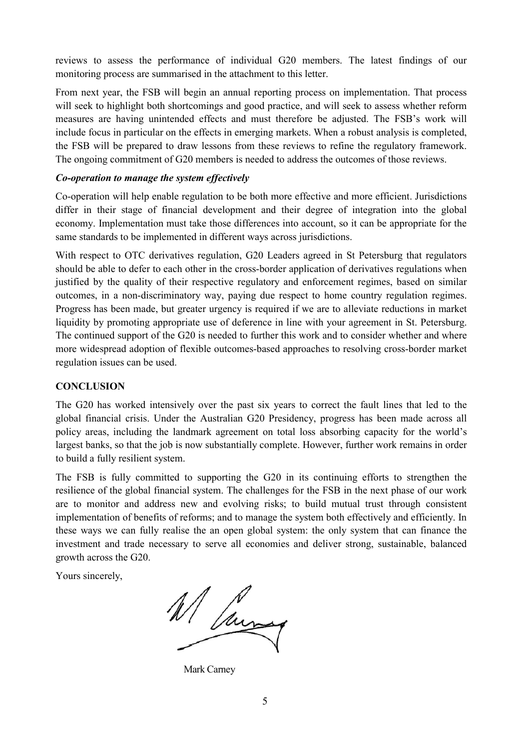reviews to assess the performance of individual G20 members. The latest findings of our monitoring process are summarised in the attachment to this letter.

From next year, the FSB will begin an annual reporting process on implementation. That process will seek to highlight both shortcomings and good practice, and will seek to assess whether reform measures are having unintended effects and must therefore be adjusted. The FSB's work will include focus in particular on the effects in emerging markets. When a robust analysis is completed, the FSB will be prepared to draw lessons from these reviews to refine the regulatory framework. The ongoing commitment of G20 members is needed to address the outcomes of those reviews.

### *Co-operation to manage the system effectively*

Co-operation will help enable regulation to be both more effective and more efficient. Jurisdictions differ in their stage of financial development and their degree of integration into the global economy. Implementation must take those differences into account, so it can be appropriate for the same standards to be implemented in different ways across jurisdictions.

With respect to OTC derivatives regulation, G20 Leaders agreed in St Petersburg that regulators should be able to defer to each other in the cross-border application of derivatives regulations when justified by the quality of their respective regulatory and enforcement regimes, based on similar outcomes, in a non-discriminatory way, paying due respect to home country regulation regimes. Progress has been made, but greater urgency is required if we are to alleviate reductions in market liquidity by promoting appropriate use of deference in line with your agreement in St. Petersburg. The continued support of the G20 is needed to further this work and to consider whether and where more widespread adoption of flexible outcomes-based approaches to resolving cross-border market regulation issues can be used.

### **CONCLUSION**

The G20 has worked intensively over the past six years to correct the fault lines that led to the global financial crisis. Under the Australian G20 Presidency, progress has been made across all policy areas, including the landmark agreement on total loss absorbing capacity for the world's largest banks, so that the job is now substantially complete. However, further work remains in order to build a fully resilient system.

The FSB is fully committed to supporting the G20 in its continuing efforts to strengthen the resilience of the global financial system. The challenges for the FSB in the next phase of our work are to monitor and address new and evolving risks; to build mutual trust through consistent implementation of benefits of reforms; and to manage the system both effectively and efficiently. In these ways we can fully realise the an open global system: the only system that can finance the investment and trade necessary to serve all economies and deliver strong, sustainable, balanced growth across the G20.

Yours sincerely,

W/ June

Mark Carney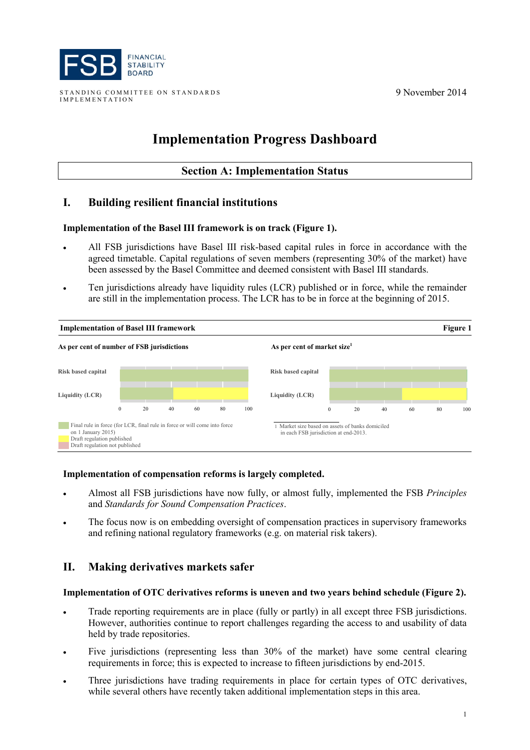

STANDING COMMITTEE ON STANDARDS IMPLEMENTATION

9 November 2014

# **Implementation Progress Dashboard**

### **Section A: Implementation Status**

# **I. Building resilient financial institutions**

#### **Implementation of the Basel III framework is on track (Figure 1).**

- All FSB jurisdictions have Basel III risk-based capital rules in force in accordance with the agreed timetable. Capital regulations of seven members (representing 30% of the market) have been assessed by the Basel Committee and deemed consistent with Basel III standards.
- Ten jurisdictions already have liquidity rules (LCR) published or in force, while the remainder are still in the implementation process. The LCR has to be in force at the beginning of 2015.



#### **Implementation of compensation reforms is largely completed.**

- Almost all FSB jurisdictions have now fully, or almost fully, implemented the FSB *Principles*  and *Standards for Sound Compensation Practices*.
- The focus now is on embedding oversight of compensation practices in supervisory frameworks and refining national regulatory frameworks (e.g. on material risk takers).

# **II. Making derivatives markets safer**

#### **Implementation of OTC derivatives reforms is uneven and two years behind schedule (Figure 2).**

- Trade reporting requirements are in place (fully or partly) in all except three FSB jurisdictions. However, authorities continue to report challenges regarding the access to and usability of data held by trade repositories.
- Five jurisdictions (representing less than 30% of the market) have some central clearing requirements in force; this is expected to increase to fifteen jurisdictions by end-2015.
- Three jurisdictions have trading requirements in place for certain types of OTC derivatives, while several others have recently taken additional implementation steps in this area.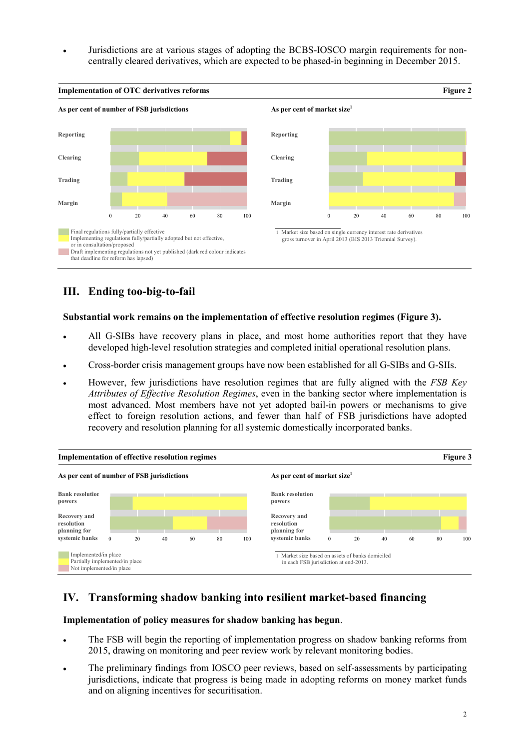• Jurisdictions are at various stages of adopting the BCBS-IOSCO margin requirements for noncentrally cleared derivatives, which are expected to be phased-in beginning in December 2015.



# **III. Ending too-big-to-fail**

#### **Substantial work remains on the implementation of effective resolution regimes (Figure 3).**

- All G-SIBs have recovery plans in place, and most home authorities report that they have developed high-level resolution strategies and completed initial operational resolution plans.
- Cross-border crisis management groups have now been established for all G-SIBs and G-SIIs.
- However, few jurisdictions have resolution regimes that are fully aligned with the *FSB Key Attributes of Effective Resolution Regimes*, even in the banking sector where implementation is most advanced. Most members have not yet adopted bail-in powers or mechanisms to give effect to foreign resolution actions, and fewer than half of FSB jurisdictions have adopted recovery and resolution planning for all systemic domestically incorporated banks.



# **IV. Transforming shadow banking into resilient market-based financing**

### **Implementation of policy measures for shadow banking has begun**.

- The FSB will begin the reporting of implementation progress on shadow banking reforms from 2015, drawing on monitoring and peer review work by relevant monitoring bodies.
- The preliminary findings from IOSCO peer reviews, based on self-assessments by participating jurisdictions, indicate that progress is being made in adopting reforms on money market funds and on aligning incentives for securitisation.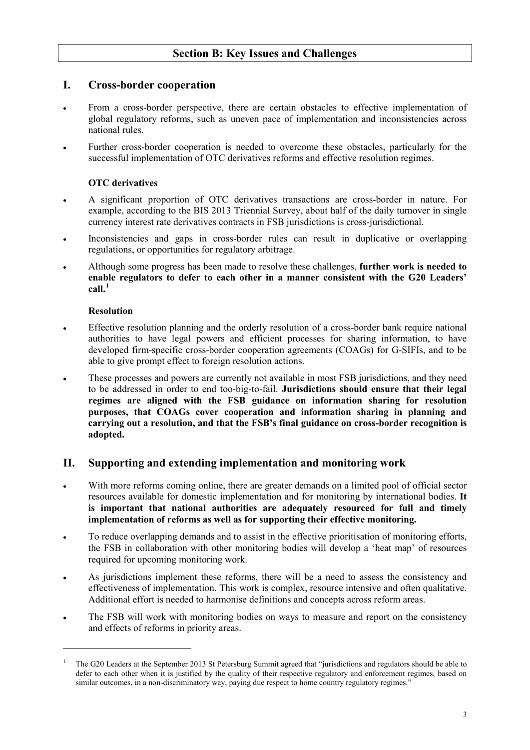# **Section B: Key Issues and Challenges**

# **I. Cross-border cooperation**

- From a cross-border perspective, there are certain obstacles to effective implementation of global regulatory reforms, such as uneven pace of implementation and inconsistencies across national rules.
- Further cross-border cooperation is needed to overcome these obstacles, particularly for the successful implementation of OTC derivatives reforms and effective resolution regimes.

### **OTC derivatives**

- A significant proportion of OTC derivatives transactions are cross-border in nature. For example, according to the BIS 2013 Triennial Survey, about half of the daily turnover in single currency interest rate derivatives contracts in FSB jurisdictions is cross-jurisdictional.
- Inconsistencies and gaps in cross-border rules can result in duplicative or overlapping regulations, or opportunities for regulatory arbitrage.
- Although some progress has been made to resolve these challenges, **further work is needed to enable regulators to defer to each other in a manner consistent with the G20 Leaders' call. [1](#page-7-0)**

### **Resolution**

-

- Effective resolution planning and the orderly resolution of a cross-border bank require national authorities to have legal powers and efficient processes for sharing information, to have developed firm-specific cross-border cooperation agreements (COAGs) for G-SIFIs, and to be able to give prompt effect to foreign resolution actions.
- These processes and powers are currently not available in most FSB jurisdictions, and they need to be addressed in order to end too-big-to-fail. **Jurisdictions should ensure that their legal regimes are aligned with the FSB guidance on information sharing for resolution purposes, that COAGs cover cooperation and information sharing in planning and carrying out a resolution, and that the FSB's final guidance on cross-border recognition is adopted.**

### **II. Supporting and extending implementation and monitoring work**

- With more reforms coming online, there are greater demands on a limited pool of official sector resources available for domestic implementation and for monitoring by international bodies. **It is important that national authorities are adequately resourced for full and timely implementation of reforms as well as for supporting their effective monitoring.**
- To reduce overlapping demands and to assist in the effective prioritisation of monitoring efforts, the FSB in collaboration with other monitoring bodies will develop a 'heat map' of resources required for upcoming monitoring work.
- As jurisdictions implement these reforms, there will be a need to assess the consistency and effectiveness of implementation. This work is complex, resource intensive and often qualitative. Additional effort is needed to harmonise definitions and concepts across reform areas.
- The FSB will work with monitoring bodies on ways to measure and report on the consistency and effects of reforms in priority areas.

<span id="page-7-0"></span><sup>1</sup> The G20 Leaders at the September 2013 St Petersburg Summit agreed that "jurisdictions and regulators should be able to defer to each other when it is justified by the quality of their respective regulatory and enforcement regimes, based on similar outcomes, in a non-discriminatory way, paying due respect to home country regulatory regimes."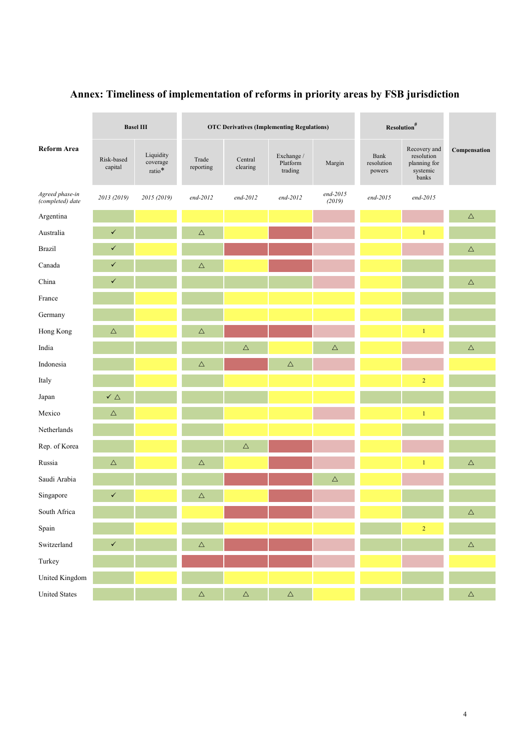| <b>Reform Area</b>                  | <b>Basel III</b>      |                                    | <b>OTC Derivatives (Implementing Regulations)</b> |                     |                                   |                      | $\mbox{Resolution}^{\#}$     |                                                                 |              |
|-------------------------------------|-----------------------|------------------------------------|---------------------------------------------------|---------------------|-----------------------------------|----------------------|------------------------------|-----------------------------------------------------------------|--------------|
|                                     | Risk-based<br>capital | Liquidity<br>coverage<br>ratio $*$ | Trade<br>reporting                                | Central<br>clearing | Exchange /<br>Platform<br>trading | Margin               | Bank<br>resolution<br>powers | Recovery and<br>resolution<br>planning for<br>systemic<br>banks | Compensation |
| Agreed phase-in<br>(completed) date | 2013 (2019)           | 2015 (2019)                        | $end-2012$                                        | end-2012            | end-2012                          | $end-2015$<br>(2019) | end-2015                     | end-2015                                                        |              |
| Argentina                           |                       |                                    |                                                   |                     |                                   |                      |                              |                                                                 | $\triangle$  |
| Australia                           | $\checkmark$          |                                    | $\triangle$                                       |                     |                                   |                      |                              | $\mathbf{1}$                                                    |              |
| Brazil                              | $\checkmark$          |                                    |                                                   |                     |                                   |                      |                              |                                                                 | $\triangle$  |
| Canada                              | $\checkmark$          |                                    | $\triangle$                                       |                     |                                   |                      |                              |                                                                 |              |
| China                               | $\checkmark$          |                                    |                                                   |                     |                                   |                      |                              |                                                                 | $\triangle$  |
| France                              |                       |                                    |                                                   |                     |                                   |                      |                              |                                                                 |              |
| Germany                             |                       |                                    |                                                   |                     |                                   |                      |                              |                                                                 |              |
| Hong Kong                           | $\triangle$           |                                    | $\triangle$                                       |                     |                                   |                      |                              | $\mathbf{1}$                                                    |              |
| India                               |                       |                                    |                                                   | $\triangle$         |                                   | $\triangle$          |                              |                                                                 | $\triangle$  |
| Indonesia                           |                       |                                    | $\triangle$                                       |                     | $\triangle$                       |                      |                              |                                                                 |              |
| Italy                               |                       |                                    |                                                   |                     |                                   |                      |                              | $\overline{2}$                                                  |              |
| Japan                               | $\checkmark$ $\Delta$ |                                    |                                                   |                     |                                   |                      |                              |                                                                 |              |
| Mexico                              | $\triangle$           |                                    |                                                   |                     |                                   |                      |                              | $\mathbf{1}$                                                    |              |
| Netherlands                         |                       |                                    |                                                   |                     |                                   |                      |                              |                                                                 |              |
| Rep. of Korea                       |                       |                                    |                                                   | $\triangle$         |                                   |                      |                              |                                                                 |              |
| Russia                              | $\triangle$           |                                    | $\triangle$                                       |                     |                                   |                      |                              | $\mathbf{1}$                                                    | $\triangle$  |
| Saudi Arabia                        |                       |                                    |                                                   |                     |                                   | $\triangle$          |                              |                                                                 |              |
| Singapore                           | $\checkmark$          |                                    | $\triangle$                                       |                     |                                   |                      |                              |                                                                 |              |
| South Africa                        |                       |                                    |                                                   |                     |                                   |                      |                              |                                                                 | $\triangle$  |
| Spain                               |                       |                                    |                                                   |                     |                                   |                      |                              | $\sqrt{2}$                                                      |              |
| Switzerland                         | $\checkmark$          |                                    | $\Delta$                                          |                     |                                   |                      |                              |                                                                 | $\Delta$     |
| Turkey                              |                       |                                    |                                                   |                     |                                   |                      |                              |                                                                 |              |
| United Kingdom                      |                       |                                    |                                                   |                     |                                   |                      |                              |                                                                 |              |
| <b>United States</b>                |                       |                                    | $\Delta$                                          | $\Delta$            | $\Delta_{\parallel}$              |                      |                              |                                                                 | $\Delta$     |

# **Annex: Timeliness of implementation of reforms in priority areas by FSB jurisdiction**